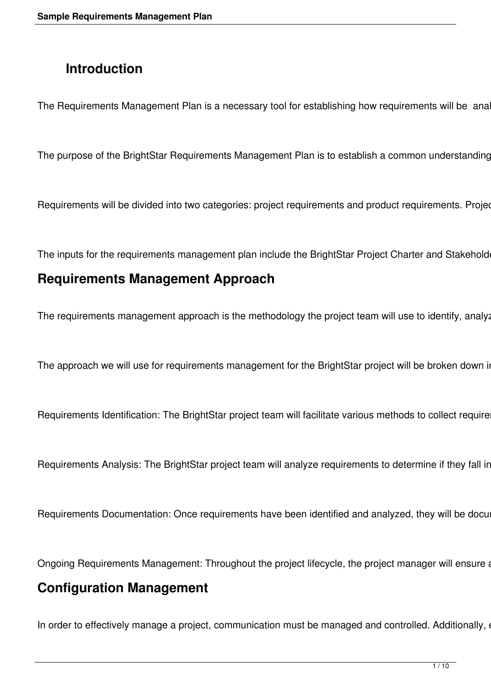# **Introduction**

The Requirements Management Plan is a necessary tool for establishing how requirements will be ana

The purpose of the BrightStar Requirements Management Plan is to establish a common understanding

Requirements will be divided into two categories: project requirements and product requirements. Projection

The inputs for the requirements management plan include the BrightStar Project Charter and Stakehold

### **Requirements Management Approach**

The requirements management approach is the methodology the project team will use to identify, analy:

The approach we will use for requirements management for the BrightStar project will be broken down in

Requirements Identification: The BrightStar project team will facilitate various methods to collect require

Requirements Analysis: The BrightStar project team will analyze requirements to determine if they fall in

Requirements Documentation: Once requirements have been identified and analyzed, they will be docu

Ongoing Requirements Management: Throughout the project lifecycle, the project manager will ensure a

### **Configuration Management**

In order to effectively manage a project, communication must be managed and controlled. Additionally,  $\epsilon$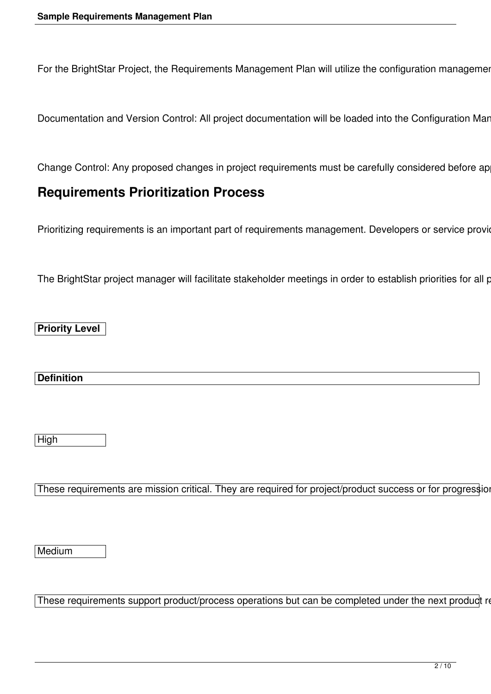For the BrightStar Project, the Requirements Management Plan will utilize the configuration management

Documentation and Version Control: All project documentation will be loaded into the Configuration Mar

Change Control: Any proposed changes in project requirements must be carefully considered before ap

### **Requirements Prioritization Process**

Prioritizing requirements is an important part of requirements management. Developers or service provio

The BrightStar project manager will facilitate stakeholder meetings in order to establish priorities for all p

**Priority Level** 

**Definition** 

High

These requirements are mission critical. They are required for project/product success or for progression

**Medium** 

These requirements support product/process operations but can be completed under the next product re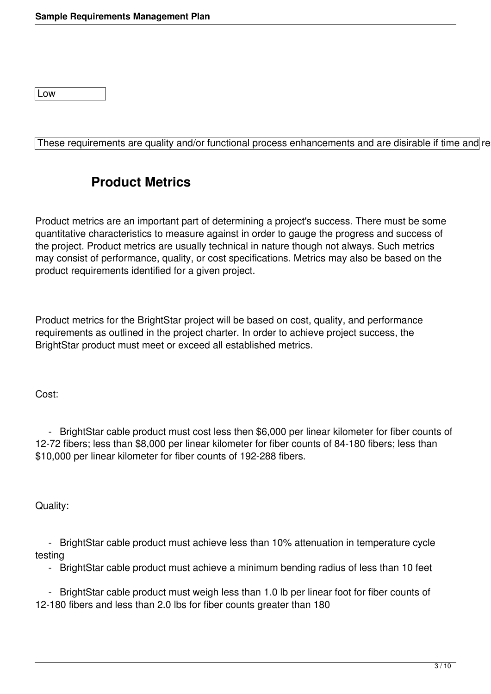Low

These requirements are quality and/or functional process enhancements and are disirable if time and re

### **Product Metrics**

Product metrics are an important part of determining a project's success. There must be some quantitative characteristics to measure against in order to gauge the progress and success of the project. Product metrics are usually technical in nature though not always. Such metrics may consist of performance, quality, or cost specifications. Metrics may also be based on the product requirements identified for a given project.

Product metrics for the BrightStar project will be based on cost, quality, and performance requirements as outlined in the project charter. In order to achieve project success, the BrightStar product must meet or exceed all established metrics.

Cost:

 - BrightStar cable product must cost less then \$6,000 per linear kilometer for fiber counts of 12-72 fibers; less than \$8,000 per linear kilometer for fiber counts of 84-180 fibers; less than \$10,000 per linear kilometer for fiber counts of 192-288 fibers.

Quality:

 - BrightStar cable product must achieve less than 10% attenuation in temperature cycle testing

- BrightStar cable product must achieve a minimum bending radius of less than 10 feet

 - BrightStar cable product must weigh less than 1.0 lb per linear foot for fiber counts of 12-180 fibers and less than 2.0 lbs for fiber counts greater than 180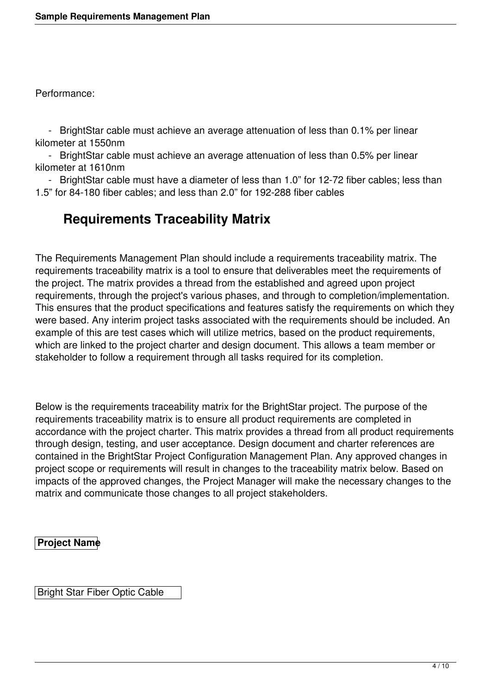Performance:

 - BrightStar cable must achieve an average attenuation of less than 0.1% per linear kilometer at 1550nm

 - BrightStar cable must achieve an average attenuation of less than 0.5% per linear kilometer at 1610nm

 - BrightStar cable must have a diameter of less than 1.0" for 12-72 fiber cables; less than 1.5" for 84-180 fiber cables; and less than 2.0" for 192-288 fiber cables

## **Requirements Traceability Matrix**

The Requirements Management Plan should include a requirements traceability matrix. The requirements traceability matrix is a tool to ensure that deliverables meet the requirements of the project. The matrix provides a thread from the established and agreed upon project requirements, through the project's various phases, and through to completion/implementation. This ensures that the product specifications and features satisfy the requirements on which they were based. Any interim project tasks associated with the requirements should be included. An example of this are test cases which will utilize metrics, based on the product requirements, which are linked to the project charter and design document. This allows a team member or stakeholder to follow a requirement through all tasks required for its completion.

Below is the requirements traceability matrix for the BrightStar project. The purpose of the requirements traceability matrix is to ensure all product requirements are completed in accordance with the project charter. This matrix provides a thread from all product requirements through design, testing, and user acceptance. Design document and charter references are contained in the BrightStar Project Configuration Management Plan. Any approved changes in project scope or requirements will result in changes to the traceability matrix below. Based on impacts of the approved changes, the Project Manager will make the necessary changes to the matrix and communicate those changes to all project stakeholders.

#### **Project Name**

Bright Star Fiber Optic Cable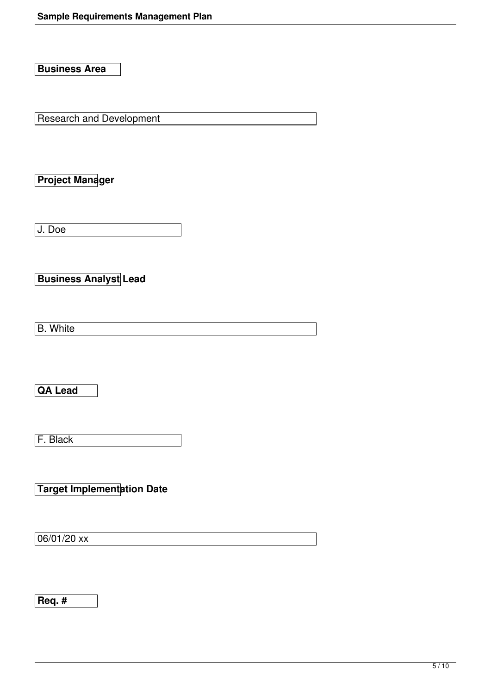**Business Area** 

**Research and Development** 

**Project Manager** 

J. Doe

**Business Analyst Lead** 

B. White

**QA Lead** 

F. Black

**Target Implementation Date** 

 $06/01/20$  xx

**Req. #**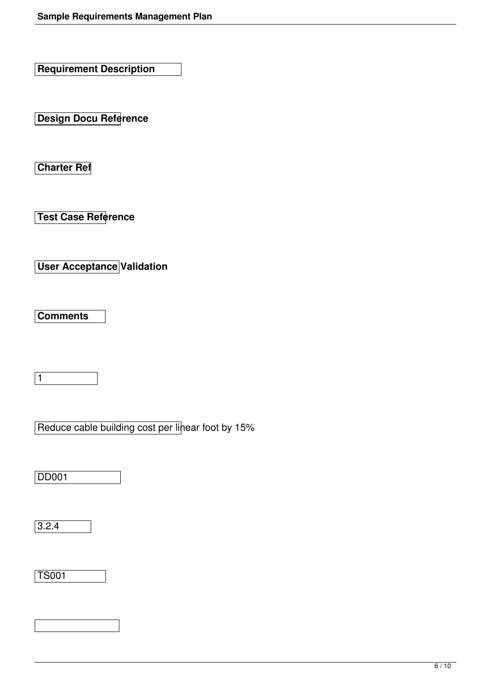**Requirement Description** 

**Design Docu Reference** 

**Charter Ref** 

**Test Case Reference** 

**User Acceptance Validation** 

**Comments** 

1

| Reduce cable building cost per linear foot by 15% |  |  |
|---------------------------------------------------|--|--|

DD001

 $3.2.4$ 

TS001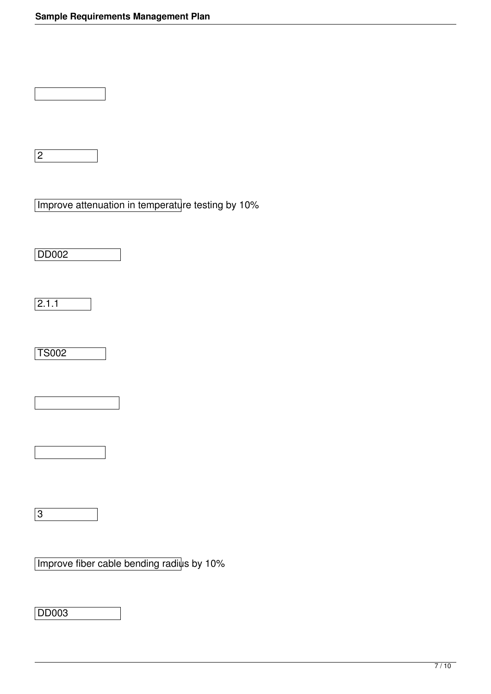| Improve attenuation in temperature testing by 10% |  |
|---------------------------------------------------|--|
|                                                   |  |

DD002

 $\overline{2.1.1}$ 

TS002

3

Improve fiber cable bending radius by 10%

DD003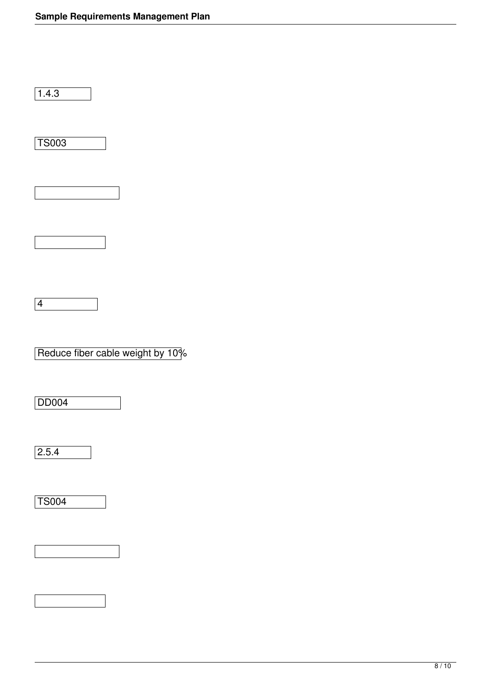$\sqrt{1.4.3}$ 

TS003

4

Reduce fiber cable weight by 10%

DD004

 $\overline{2.5.4}$ 

TS004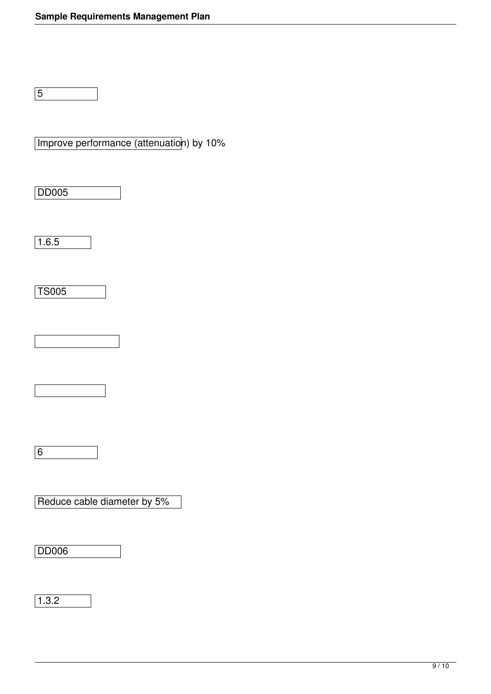5

Improve performance (attenuation) by 10%

DD005

 $\sqrt{1.6.5}$ 

TS005

6

Reduce cable diameter by 5%

DD006

1.3.2